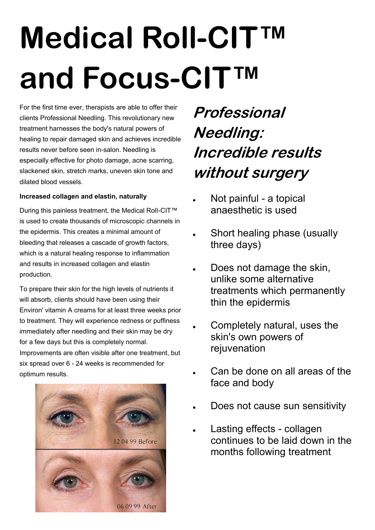# **Medical Roll-CIT™ and Focus-CIT™**

For the first time ever, therapists are able to offer their clients Professional Needling. This revolutionary new treatment harnesses the body's natural powers of healing to repair damaged skin and achieves incredible results never before seen in-salon. Needling is especially effective for photo damage, acne scarring, slackened skin, stretch marks, uneven skin tone and dilated blood vessels.

### **Increased collagen and elastin, naturally**

During this painless treatment, the Medical RolI-CIT™ is used to create thousands of microscopic channels in the epidermis. This creates a minimal amount of bleeding that releases a cascade of growth factors, which is a natural healing response to inflammation and results in increased collagen and elastin production.

To prepare their skin for the high levels of nutrients it will absorb, clients should have been using their Environ' vitamin A creams for at least three weeks prior to treatment. They will experience redness or puffiness immediately after needling and their skin may be dry for a few days but this is completely normal. Improvements are often visible after one treatment, but six spread over 6 - 24 weeks is recommended for optimum results.



### **Professional Needling: Incredible results without surgery**

- Not painful a topical anaesthetic is used
- Short healing phase (usually three days)
- Does not damage the skin, unlike some alternative treatments which permanently thin the epidermis
- Completely natural, uses the skin's own powers of rejuvenation
- Can be done on all areas of the face and body
- Does not cause sun sensitivity
- Lasting effects collagen continues to be laid down in the months following treatment